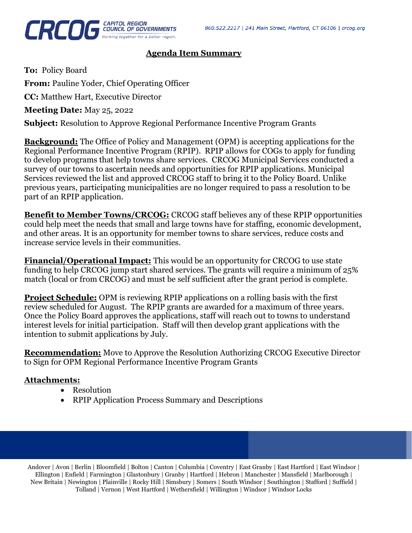

#### **Agenda Item Summary**

**To:** Policy Board **From:** Pauline Yoder, Chief Operating Officer

**CC:** Matthew Hart, Executive Director

**Meeting Date:** May 25, 2022

**Subject:** Resolution to Approve Regional Performance Incentive Program Grants

**Background:** The Office of Policy and Management (OPM) is accepting applications for the Regional Performance Incentive Program (RPIP). RPIP allows for COGs to apply for funding to develop programs that help towns share services. CRCOG Municipal Services conducted a survey of our towns to ascertain needs and opportunities for RPIP applications. Municipal Services reviewed the list and approved CRCOG staff to bring it to the Policy Board. Unlike previous years, participating municipalities are no longer required to pass a resolution to be part of an RPIP application.

**Benefit to Member Towns/CRCOG:** CRCOG staff believes any of these RPIP opportunities could help meet the needs that small and large towns have for staffing, economic development, and other areas. It is an opportunity for member towns to share services, reduce costs and increase service levels in their communities.

**Financial/Operational Impact:** This would be an opportunity for CRCOG to use state funding to help CRCOG jump start shared services. The grants will require a minimum of 25% match (local or from CRCOG) and must be self sufficient after the grant period is complete.

**Project Schedule:** OPM is reviewing RPIP applications on a rolling basis with the first review scheduled for August. The RPIP grants are awarded for a maximum of three years. Once the Policy Board approves the applications, staff will reach out to towns to understand interest levels for initial participation. Staff will then develop grant applications with the intention to submit applications by July.

**Recommendation:** Move to Approve the Resolution Authorizing CRCOG Executive Director to Sign for OPM Regional Performance Incentive Program Grants

#### **Attachments:**

- Resolution
- RPIP Application Process Summary and Descriptions

Andover | Avon | Berlin | Bloomfield | Bolton | Canton | Columbia | Coventry | East Granby | East Hartford | East Windsor | Ellington | Enfield | Farmington | Glastonbury | Granby | Hartford | Hebron | Manchester | Mansfield | Marlborough | New Britain | Newington | Plainville | Rocky Hill | Simsbury | Somers | South Windsor | Southington | Stafford | Suffield | Tolland | Vernon | West Hartford | Wethersfield | Willington | Windsor | Windsor Locks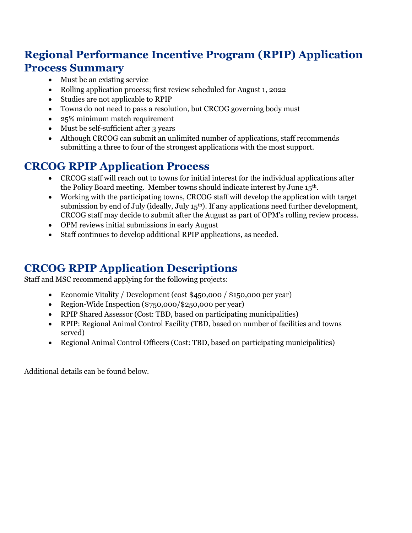# **Regional Performance Incentive Program (RPIP) Application Process Summary**

- Must be an existing service
- Rolling application process; first review scheduled for August 1, 2022
- Studies are not applicable to RPIP
- Towns do not need to pass a resolution, but CRCOG governing body must
- 25% minimum match requirement
- Must be self-sufficient after 3 years
- Although CRCOG can submit an unlimited number of applications, staff recommends submitting a three to four of the strongest applications with the most support.

# **CRCOG RPIP Application Process**

- CRCOG staff will reach out to towns for initial interest for the individual applications after the Policy Board meeting. Member towns should indicate interest by June 15th.
- Working with the participating towns, CRCOG staff will develop the application with target submission by end of July (ideally, July 15<sup>th</sup>). If any applications need further development, CRCOG staff may decide to submit after the August as part of OPM's rolling review process.
- OPM reviews initial submissions in early August
- Staff continues to develop additional RPIP applications, as needed.

## **CRCOG RPIP Application Descriptions**

Staff and MSC recommend applying for the following projects:

- Economic Vitality / Development (cost \$450,000 / \$150,000 per year)
- Region-Wide Inspection (\$750,000/\$250,000 per year)
- RPIP Shared Assessor (Cost: TBD, based on participating municipalities)
- RPIP: Regional Animal Control Facility (TBD, based on number of facilities and towns served)
- Regional Animal Control Officers (Cost: TBD, based on participating municipalities)

Additional details can be found below.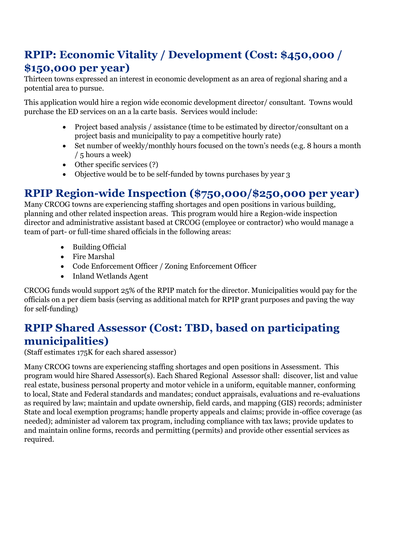# **RPIP: Economic Vitality / Development (Cost: \$450,000 / \$150,000 per year)**

Thirteen towns expressed an interest in economic development as an area of regional sharing and a potential area to pursue.

This application would hire a region wide economic development director/ consultant. Towns would purchase the ED services on an a la carte basis. Services would include:

- Project based analysis / assistance (time to be estimated by director/consultant on a project basis and municipality to pay a competitive hourly rate)
- Set number of weekly/monthly hours focused on the town's needs (e.g. 8 hours a month / 5 hours a week)
- Other specific services (?)
- Objective would be to be self-funded by towns purchases by year 3

### **RPIP Region-wide Inspection (\$750,000/\$250,000 per year)**

Many CRCOG towns are experiencing staffing shortages and open positions in various building, planning and other related inspection areas. This program would hire a Region-wide inspection director and administrative assistant based at CRCOG (employee or contractor) who would manage a team of part- or full-time shared officials in the following areas:

- Building Official
- Fire Marshal
- Code Enforcement Officer / Zoning Enforcement Officer
- Inland Wetlands Agent

CRCOG funds would support 25% of the RPIP match for the director. Municipalities would pay for the officials on a per diem basis (serving as additional match for RPIP grant purposes and paving the way for self-funding)

### **RPIP Shared Assessor (Cost: TBD, based on participating municipalities)**

(Staff estimates 175K for each shared assessor)

Many CRCOG towns are experiencing staffing shortages and open positions in Assessment. This program would hire Shared Assessor(s). Each Shared Regional Assessor shall: discover, list and value real estate, business personal property and motor vehicle in a uniform, equitable manner, conforming to local, State and Federal standards and mandates; conduct appraisals, evaluations and re-evaluations as required by law; maintain and update ownership, field cards, and mapping (GIS) records; administer State and local exemption programs; handle property appeals and claims; provide in-office coverage (as needed); administer ad valorem tax program, including compliance with tax laws; provide updates to and maintain online forms, records and permitting (permits) and provide other essential services as required.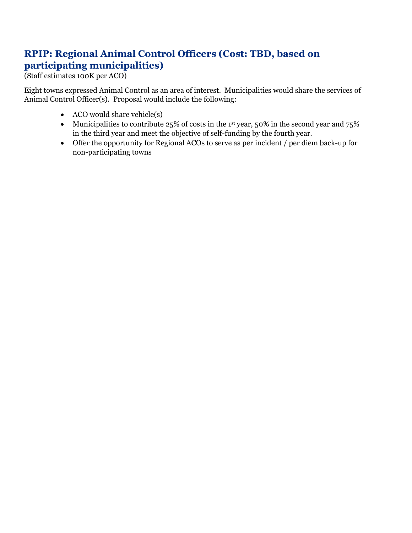#### **RPIP: Regional Animal Control Officers (Cost: TBD, based on participating municipalities)**

(Staff estimates 100K per ACO)

Eight towns expressed Animal Control as an area of interest. Municipalities would share the services of Animal Control Officer(s). Proposal would include the following:

- ACO would share vehicle(s)
- Municipalities to contribute 25% of costs in the 1st year, 50% in the second year and 75% in the third year and meet the objective of self-funding by the fourth year.
- Offer the opportunity for Regional ACOs to serve as per incident / per diem back-up for non-participating towns